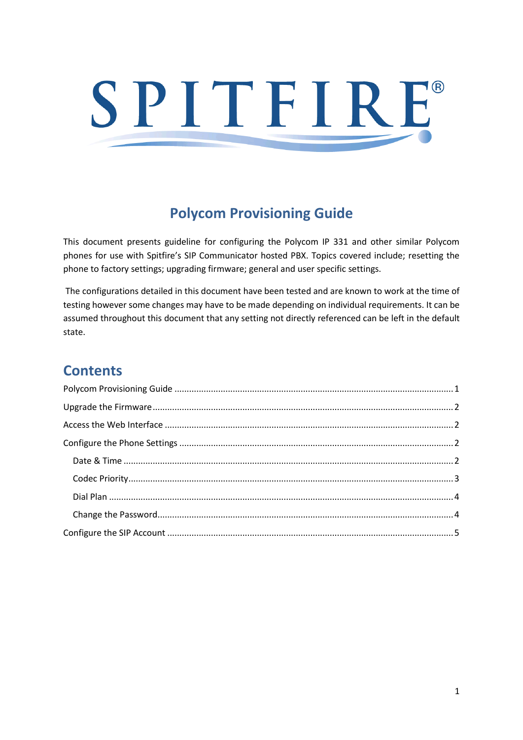# SPITFIRE®

# **Polycom Provisioning Guide**

<span id="page-0-0"></span>This document presents guideline for configuring the Polycom IP 331 and other similar Polycom phones for use with Spitfire's SIP Communicator hosted PBX. Topics covered include; resetting the phone to factory settings; upgrading firmware; general and user specific settings.

The configurations detailed in this document have been tested and are known to work at the time of testing however some changes may have to be made depending on individual requirements. It can be assumed throughout this document that any setting not directly referenced can be left in the default state.

## **Contents**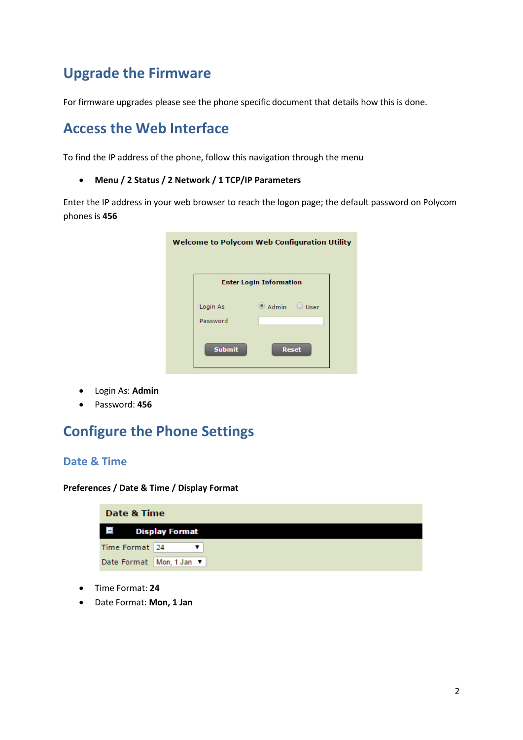## <span id="page-1-0"></span>**Upgrade the Firmware**

For firmware upgrades please see the phone specific document that details how this is done.

## <span id="page-1-1"></span>**Access the Web Interface**

To find the IP address of the phone, follow this navigation through the menu

**Menu / 2 Status / 2 Network / 1 TCP/IP Parameters**

Enter the IP address in your web browser to reach the logon page; the default password on Polycom phones is **456**

| Welcome to Polycom Web Configuration Utility |                                |  |
|----------------------------------------------|--------------------------------|--|
|                                              | <b>Enter Login Information</b> |  |
| Login As<br>Password                         | $\circ$ Admin $\circ$ User     |  |
| <b>Submit</b>                                | <b>Reset</b>                   |  |

- Login As: **Admin**
- Password: **456**

## <span id="page-1-2"></span>**Configure the Phone Settings**

#### <span id="page-1-3"></span>**Date & Time**

**Preferences / Date & Time / Display Format**

| Date & Time    |                            |
|----------------|----------------------------|
| $\Box$         | <b>Display Format</b>      |
| Time Format 24 |                            |
|                | Date Format   Mon, 1 Jan ▼ |

- Time Format: **24**
- Date Format: **Mon, 1 Jan**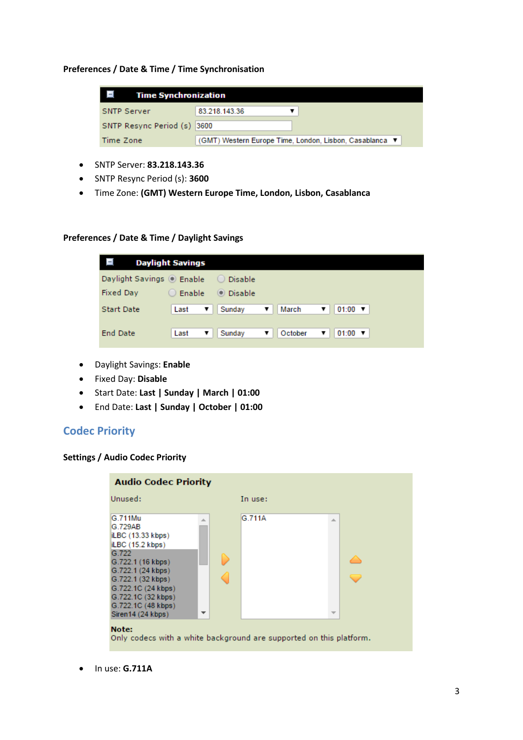#### **Preferences / Date & Time / Time Synchronisation**

| <b>Time Synchronization</b> |                                                         |
|-----------------------------|---------------------------------------------------------|
| <b>SNTP Server</b>          | 83.218.143.36                                           |
| SNTP Resync Period (s)      | 3600                                                    |
| Time Zone                   | (GMT) Western Europe Time, London, Lisbon, Casablanca ▼ |

- SNTP Server: **83.218.143.36**
- SNTP Resync Period (s): **3600**
- Time Zone: **(GMT) Western Europe Time, London, Lisbon, Casablanca**

#### **Preferences / Date & Time / Daylight Savings**

|                           | <b>Daylight Savings</b> |           |              |                                   |
|---------------------------|-------------------------|-----------|--------------|-----------------------------------|
| Daylight Savings © Enable |                         | Disable   |              |                                   |
| Fixed Day                 | Enable                  | ● Disable |              |                                   |
| <b>Start Date</b>         | Last<br>▼               | Sunday    | March<br>▼   | $01:00$ $\blacktriangledown$<br>▼ |
|                           |                         |           |              |                                   |
| <b>End Date</b>           | Last<br>▼               | Sunday    | October<br>▼ | $01:00$ $\blacktriangledown$<br>▼ |

- Daylight Savings: **Enable**
- Fixed Day: **Disable**
- Start Date: **Last | Sunday | March | 01:00**
- End Date: **Last | Sunday | October | 01:00**

## <span id="page-2-0"></span>**Codec Priority**

#### **Settings / Audio Codec Priority**



In use: **G.711A**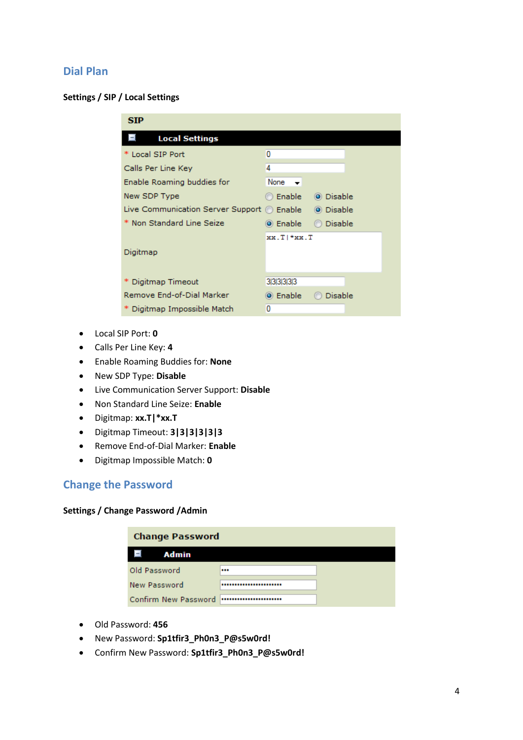## <span id="page-3-0"></span>**Dial Plan**

#### **Settings / SIP / Local Settings**

| <b>SIP</b>                                 |                            |
|--------------------------------------------|----------------------------|
| <b>Local Settings</b>                      |                            |
| * Local SIP Port                           | Ω                          |
| Calls Per Line Key                         | 4                          |
| Enable Roaming buddies for                 | None                       |
| New SDP Type                               | © Enable ⊹<br>O Disable    |
| Live Communication Server Support © Enable | ◎ Disable                  |
| * Non Standard Line Seize                  | <b>Disable</b><br>⊙ Enable |
|                                            | xx.TI*xx.T                 |
| Digitmap                                   |                            |
|                                            |                            |
| Digitmap Timeout                           | 313131313                  |
| Remove End-of-Dial Marker                  | ◎ Enable<br>Disable        |
| Digitmap Impossible Match                  | 0                          |
|                                            |                            |

- Local SIP Port: **0**
- Calls Per Line Key: **4**
- Enable Roaming Buddies for: **None**
- New SDP Type: **Disable**
- Live Communication Server Support: **Disable**
- Non Standard Line Seize: **Enable**
- Digitmap: **xx.T|\*xx.T**
- Digitmap Timeout: **3|3|3|3|3|3**
- Remove End-of-Dial Marker: **Enable**
- Digitmap Impossible Match: **0**

## <span id="page-3-1"></span>**Change the Password**

#### **Settings / Change Password /Admin**

| <b>Change Password</b> |  |
|------------------------|--|
| Admin<br>-             |  |
| Old Password           |  |
| New Password           |  |
| Confirm New Password   |  |

- Old Password: **456**
- New Password: **Sp1tfir3\_Ph0n3\_P@s5w0rd!**
- Confirm New Password: **Sp1tfir3\_Ph0n3\_P@s5w0rd!**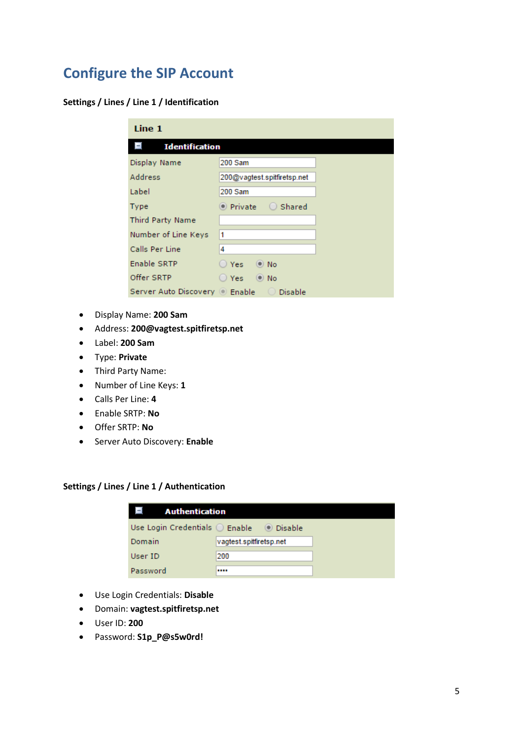# <span id="page-4-0"></span>**Configure the SIP Account**

#### **Settings / Lines / Line 1 / Identification**

| Line 1                         |                             |  |
|--------------------------------|-----------------------------|--|
| <b>Identification</b><br>н     |                             |  |
| Display Name                   | 200 Sam                     |  |
| Address                        | 200@vagtest.spitfiretsp.net |  |
| Label                          | 200 Sam                     |  |
| Type                           | Shared<br>$\bullet$ Private |  |
| <b>Third Party Name</b>        |                             |  |
| Number of Line Keys            | 1                           |  |
| Calls Per Line                 | 4                           |  |
| Enable SRTP                    | <b>Yes</b><br>$\bullet$ No  |  |
| Offer SRTP                     | <b>Yes</b><br>$\odot$ No    |  |
| Server Auto Discovery © Enable | Disable !                   |  |

- Display Name: **200 Sam**
- Address: **200@vagtest.spitfiretsp.net**
- Label: **200 Sam**
- Type: **Private**
- Third Party Name:
- Number of Line Keys: **1**
- Calls Per Line: **4**
- Enable SRTP: **No**
- Offer SRTP: **No**
- Server Auto Discovery: **Enable**

#### **Settings / Lines / Line 1 / Authentication**

| <b>Authentication</b> |                         |           |
|-----------------------|-------------------------|-----------|
| Use Login Credentials | $\bigcirc$ Enable       | ◎ Disable |
| Domain                | vagtest.spitfiretsp.net |           |
| User ID               | 200                     |           |
| Password              |                         |           |

- Use Login Credentials: **Disable**
- Domain: **vagtest.spitfiretsp.net**
- User ID: **200**
- Password: **S1p\_P@s5w0rd!**